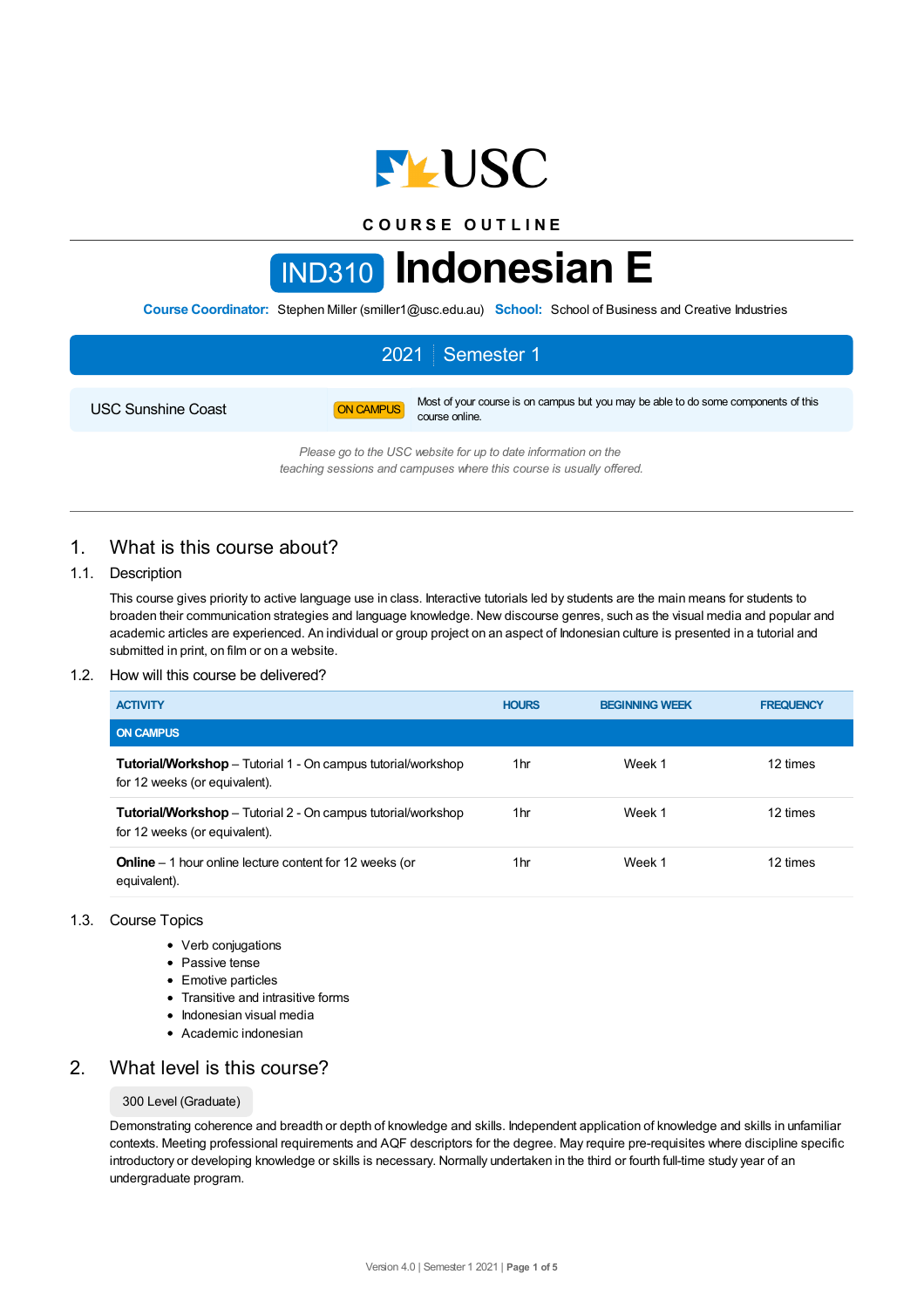

**C O U R S E O U T L I N E**

# IND310 **Indonesian E**

**Course Coordinator:** Stephen Miller (smiller1@usc.edu.au) **School:** School of Business and Creative Industries

|                           |           | 2021   Semester 1                                                                                    |
|---------------------------|-----------|------------------------------------------------------------------------------------------------------|
| <b>USC Sunshine Coast</b> | ON CAMPUS | Most of your course is on campus but you may be able to do some components of this<br>course online. |
|                           |           | Please go to the USC website for up to date information on the                                       |

*teaching sessions and campuses where this course is usually offered.*

# 1. What is this course about?

## 1.1. Description

This course gives priority to active language use in class. Interactive tutorials led by students are the main means for students to broaden their communication strategies and language knowledge. New discourse genres, such as the visual media and popular and academic articles are experienced. An individual or group project on an aspect of Indonesian culture is presented in a tutorial and submitted in print, on film or on a website.

### 1.2. How will this course be delivered?

| <b>ACTIVITY</b>                                                                                      | <b>HOURS</b> | <b>BEGINNING WEEK</b> | <b>FREQUENCY</b> |
|------------------------------------------------------------------------------------------------------|--------------|-----------------------|------------------|
| <b>ON CAMPUS</b>                                                                                     |              |                       |                  |
| <b>Tutorial/Workshop</b> – Tutorial 1 - On campus tutorial/workshop<br>for 12 weeks (or equivalent). | 1hr          | Week 1                | 12 times         |
| <b>Tutorial/Workshop</b> – Tutorial 2 - On campus tutorial/workshop<br>for 12 weeks (or equivalent). | 1hr          | Week 1                | 12 times         |
| <b>Online</b> $-$ 1 hour online lecture content for 12 weeks (or<br>equivalent).                     | 1hr          | Week 1                | 12 times         |

### 1.3. Course Topics

- Verb conjugations
- Passive tense
- Emotive particles
- Transitive and intrasitive forms
- Indonesian visual media
- Academic indonesian

# 2. What level is this course?

### 300 Level (Graduate)

Demonstrating coherence and breadth or depth of knowledge and skills. Independent application of knowledge and skills in unfamiliar contexts. Meeting professional requirements and AQF descriptors for the degree. May require pre-requisites where discipline specific introductory or developing knowledge or skills is necessary. Normally undertaken in the third or fourth full-time study year of an undergraduate program.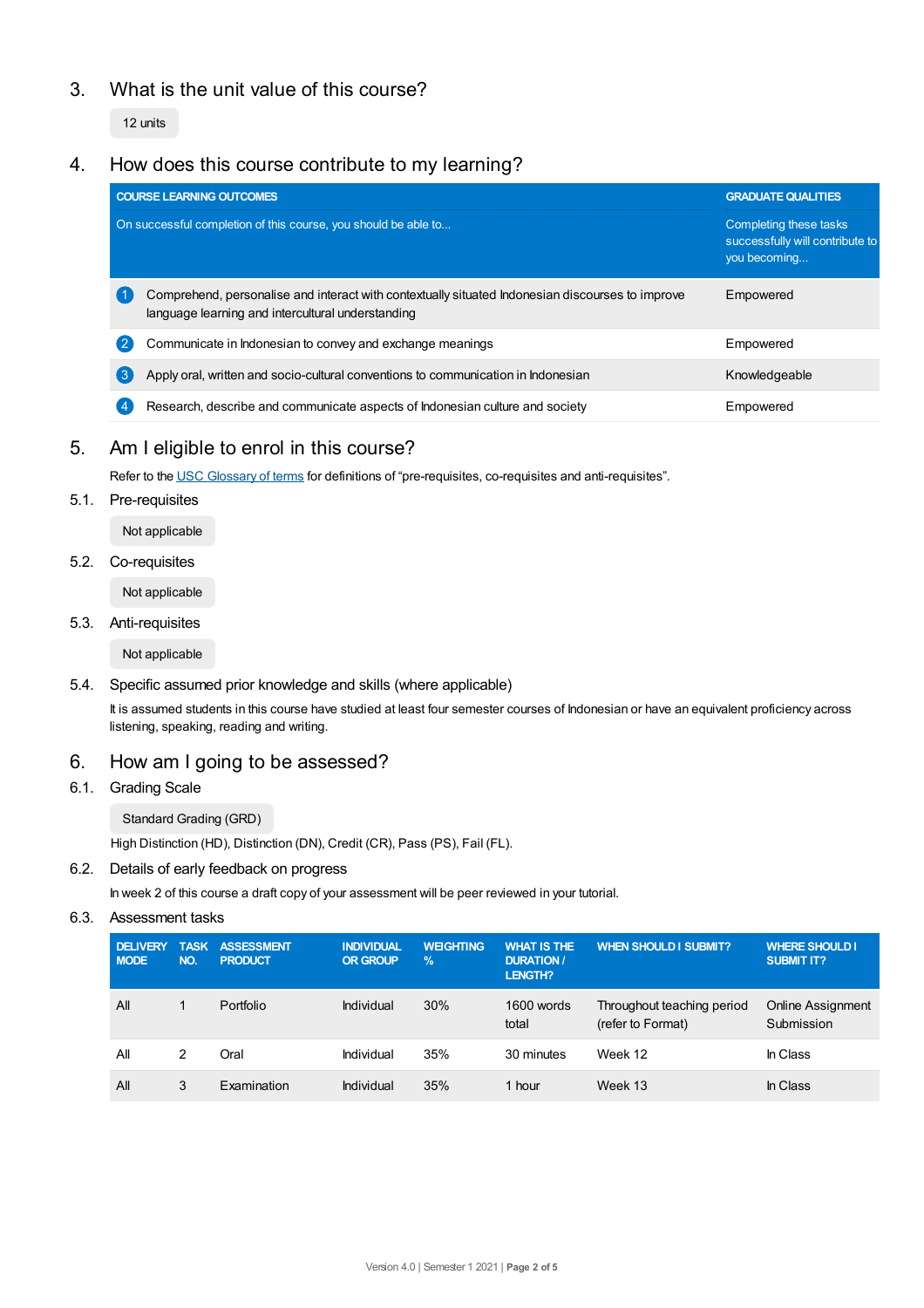# 3. What is the unit value of this course?

12 units

# 4. How does this course contribute to my learning?

|                                                                | <b>COURSE LEARNING OUTCOMES</b>                                                                                                                       | <b>GRADUATE QUALITIES</b>                                                 |  |
|----------------------------------------------------------------|-------------------------------------------------------------------------------------------------------------------------------------------------------|---------------------------------------------------------------------------|--|
| On successful completion of this course, you should be able to |                                                                                                                                                       | Completing these tasks<br>successfully will contribute to<br>you becoming |  |
|                                                                | Comprehend, personalise and interact with contextually situated Indonesian discourses to improve<br>language learning and intercultural understanding | Empowered                                                                 |  |
|                                                                | Communicate in Indonesian to convey and exchange meanings                                                                                             | Empowered                                                                 |  |
| ე                                                              | Apply oral, written and socio-cultural conventions to communication in Indonesian                                                                     | Knowledgeable                                                             |  |
|                                                                | Research, describe and communicate aspects of Indonesian culture and society                                                                          | Empowered                                                                 |  |

# 5. Am I eligible to enrol in this course?

Refer to the USC [Glossary](https://www.usc.edu.au/about/policies-and-procedures/glossary-of-terms-for-policy-and-procedures) of terms for definitions of "pre-requisites, co-requisites and anti-requisites".

## 5.1. Pre-requisites

Not applicable

### 5.2. Co-requisites

Not applicable

### 5.3. Anti-requisites

Not applicable

### 5.4. Specific assumed prior knowledge and skills (where applicable)

It is assumed students in this course have studied at least four semester courses of Indonesian or have an equivalent proficiency across listening, speaking, reading and writing.

# 6. How am I going to be assessed?

## 6.1. Grading Scale

Standard Grading (GRD)

High Distinction (HD), Distinction (DN), Credit (CR), Pass (PS), Fail (FL).

## 6.2. Details of early feedback on progress

In week 2 of this course a draft copy of your assessment will be peer reviewed in your tutorial.

## 6.3. Assessment tasks

| <b>DELIVERY</b><br><b>MODE</b> | <b>TASK</b><br>NO. | <b>ASSESSMENT</b><br><b>PRODUCT</b> | <b>INDIVIDUAL</b><br><b>OR GROUP</b> | <b>WEIGHTING</b><br>$\%$ | <b>WHAT IS THE</b><br><b>DURATION /</b><br><b>LENGTH?</b> | <b>WHEN SHOULD I SUBMIT?</b>                    | <b>WHERE SHOULD I</b><br><b>SUBMIT IT?</b> |
|--------------------------------|--------------------|-------------------------------------|--------------------------------------|--------------------------|-----------------------------------------------------------|-------------------------------------------------|--------------------------------------------|
| All                            |                    | Portfolio                           | Individual                           | 30%                      | 1600 words<br>total                                       | Throughout teaching period<br>(refer to Format) | <b>Online Assignment</b><br>Submission     |
| All                            |                    | Oral                                | Individual                           | 35%                      | 30 minutes                                                | Week 12                                         | In Class                                   |
| All                            | 3                  | Examination                         | Individual                           | 35%                      | 1 hour                                                    | Week 13                                         | In Class                                   |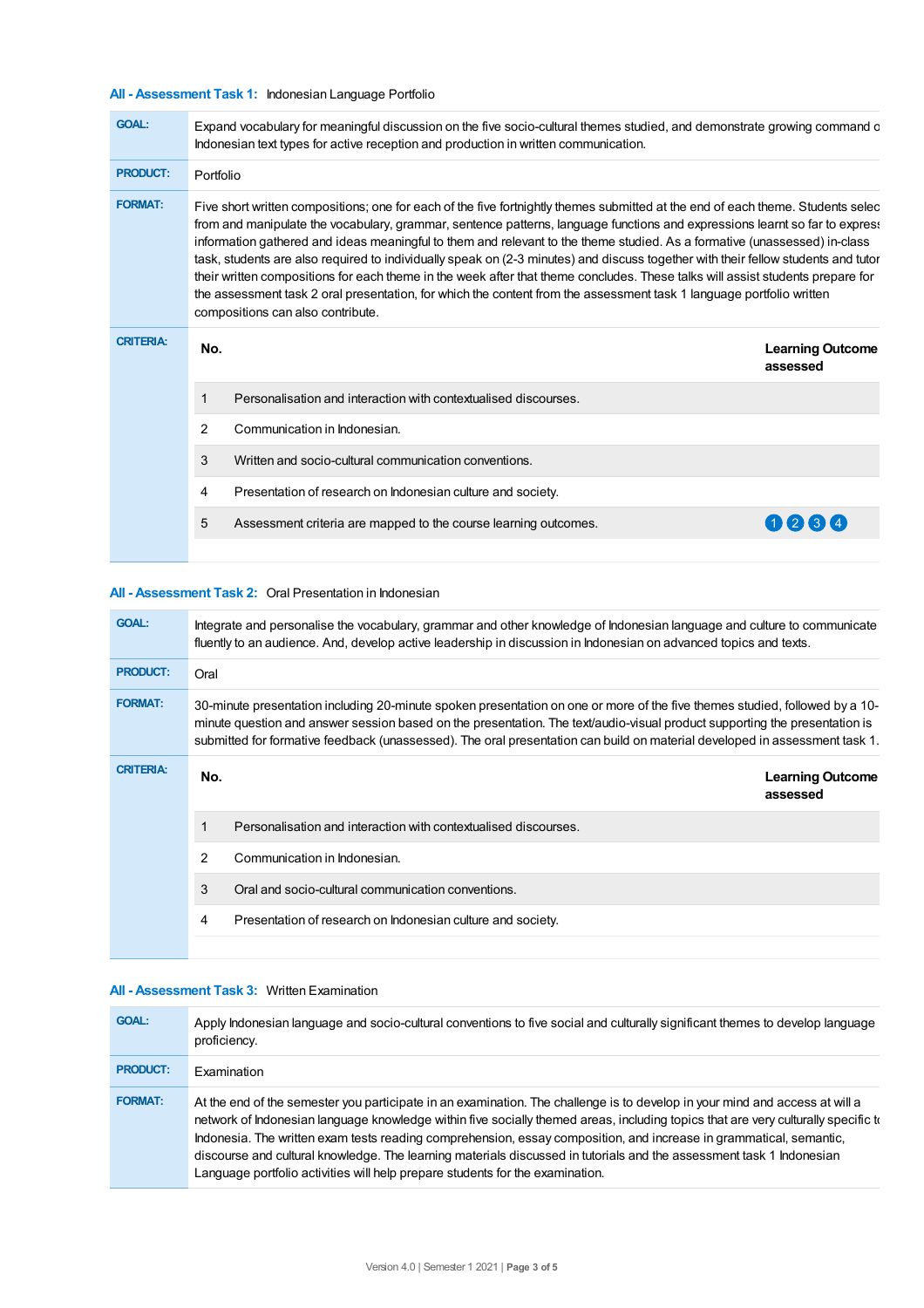## **All - Assessment Task 1:** Indonesian Language Portfolio

| <b>GOAL:</b>     | Expand vocabulary for meaningful discussion on the five socio-cultural themes studied, and demonstrate growing command o<br>Indonesian text types for active reception and production in written communication.                                                                                                                                                                                                                                                                                                                                                                                                                                                                                                                                                                                                                 |                                                                 |                                     |  |  |
|------------------|---------------------------------------------------------------------------------------------------------------------------------------------------------------------------------------------------------------------------------------------------------------------------------------------------------------------------------------------------------------------------------------------------------------------------------------------------------------------------------------------------------------------------------------------------------------------------------------------------------------------------------------------------------------------------------------------------------------------------------------------------------------------------------------------------------------------------------|-----------------------------------------------------------------|-------------------------------------|--|--|
| <b>PRODUCT:</b>  | Portfolio                                                                                                                                                                                                                                                                                                                                                                                                                                                                                                                                                                                                                                                                                                                                                                                                                       |                                                                 |                                     |  |  |
| <b>FORMAT:</b>   | Five short written compositions; one for each of the five fortnightly themes submitted at the end of each theme. Students selec<br>from and manipulate the vocabulary, grammar, sentence patterns, language functions and expressions learnt so far to express<br>information gathered and ideas meaningful to them and relevant to the theme studied. As a formative (unassessed) in-class<br>task, students are also required to individually speak on (2-3 minutes) and discuss together with their fellow students and tutor<br>their written compositions for each theme in the week after that theme concludes. These talks will assist students prepare for<br>the assessment task 2 oral presentation, for which the content from the assessment task 1 language portfolio written<br>compositions can also contribute. |                                                                 |                                     |  |  |
| <b>CRITERIA:</b> | No.                                                                                                                                                                                                                                                                                                                                                                                                                                                                                                                                                                                                                                                                                                                                                                                                                             |                                                                 | <b>Learning Outcome</b><br>assessed |  |  |
|                  | 1                                                                                                                                                                                                                                                                                                                                                                                                                                                                                                                                                                                                                                                                                                                                                                                                                               | Personalisation and interaction with contextualised discourses. |                                     |  |  |
|                  | 2                                                                                                                                                                                                                                                                                                                                                                                                                                                                                                                                                                                                                                                                                                                                                                                                                               | Communication in Indonesian.                                    |                                     |  |  |
|                  | 3                                                                                                                                                                                                                                                                                                                                                                                                                                                                                                                                                                                                                                                                                                                                                                                                                               | Written and socio-cultural communication conventions.           |                                     |  |  |
|                  | 4                                                                                                                                                                                                                                                                                                                                                                                                                                                                                                                                                                                                                                                                                                                                                                                                                               | Presentation of research on Indonesian culture and society.     |                                     |  |  |
|                  | 5                                                                                                                                                                                                                                                                                                                                                                                                                                                                                                                                                                                                                                                                                                                                                                                                                               | Assessment criteria are mapped to the course learning outcomes. | $Q$ $3$ $4$                         |  |  |
|                  |                                                                                                                                                                                                                                                                                                                                                                                                                                                                                                                                                                                                                                                                                                                                                                                                                                 |                                                                 |                                     |  |  |

## **All - Assessment Task 2:** Oral Presentation in Indonesian

| <b>GOAL:</b>     |                                                                                                                                                                                                                                                                                                                                                                                         | Integrate and personalise the vocabulary, grammar and other knowledge of Indonesian language and culture to communicate<br>fluently to an audience. And, develop active leadership in discussion in Indonesian on advanced topics and texts. |  |  |
|------------------|-----------------------------------------------------------------------------------------------------------------------------------------------------------------------------------------------------------------------------------------------------------------------------------------------------------------------------------------------------------------------------------------|----------------------------------------------------------------------------------------------------------------------------------------------------------------------------------------------------------------------------------------------|--|--|
| <b>PRODUCT:</b>  | Oral                                                                                                                                                                                                                                                                                                                                                                                    |                                                                                                                                                                                                                                              |  |  |
| <b>FORMAT:</b>   | 30-minute presentation including 20-minute spoken presentation on one or more of the five themes studied, followed by a 10-<br>minute question and answer session based on the presentation. The text/audio-visual product supporting the presentation is<br>submitted for formative feedback (unassessed). The oral presentation can build on material developed in assessment task 1. |                                                                                                                                                                                                                                              |  |  |
| <b>CRITERIA:</b> | No.                                                                                                                                                                                                                                                                                                                                                                                     | <b>Learning Outcome</b><br>assessed                                                                                                                                                                                                          |  |  |
|                  |                                                                                                                                                                                                                                                                                                                                                                                         | Personalisation and interaction with contextualised discourses.                                                                                                                                                                              |  |  |
|                  | 2                                                                                                                                                                                                                                                                                                                                                                                       | Communication in Indonesian.                                                                                                                                                                                                                 |  |  |
|                  | 3                                                                                                                                                                                                                                                                                                                                                                                       | Oral and socio-cultural communication conventions.                                                                                                                                                                                           |  |  |
|                  | 4                                                                                                                                                                                                                                                                                                                                                                                       | Presentation of research on Indonesian culture and society.                                                                                                                                                                                  |  |  |
|                  |                                                                                                                                                                                                                                                                                                                                                                                         |                                                                                                                                                                                                                                              |  |  |

#### **All - Assessment Task 3:** Written Examination

| <b>GOAL:</b>    | Apply Indonesian language and socio-cultural conventions to five social and culturally significant themes to develop language<br>proficiency.                                                                                                                                                                                                                                                                                                                                                                                                                                                   |
|-----------------|-------------------------------------------------------------------------------------------------------------------------------------------------------------------------------------------------------------------------------------------------------------------------------------------------------------------------------------------------------------------------------------------------------------------------------------------------------------------------------------------------------------------------------------------------------------------------------------------------|
| <b>PRODUCT:</b> | Examination                                                                                                                                                                                                                                                                                                                                                                                                                                                                                                                                                                                     |
| <b>FORMAT:</b>  | At the end of the semester you participate in an examination. The challenge is to develop in your mind and access at will a<br>network of Indonesian language knowledge within five socially themed areas, including topics that are very culturally specific to<br>Indonesia. The written exam tests reading comprehension, essay composition, and increase in grammatical, semantic,<br>discourse and cultural knowledge. The learning materials discussed in tutorials and the assessment task 1 Indonesian<br>Language portfolio activities will help prepare students for the examination. |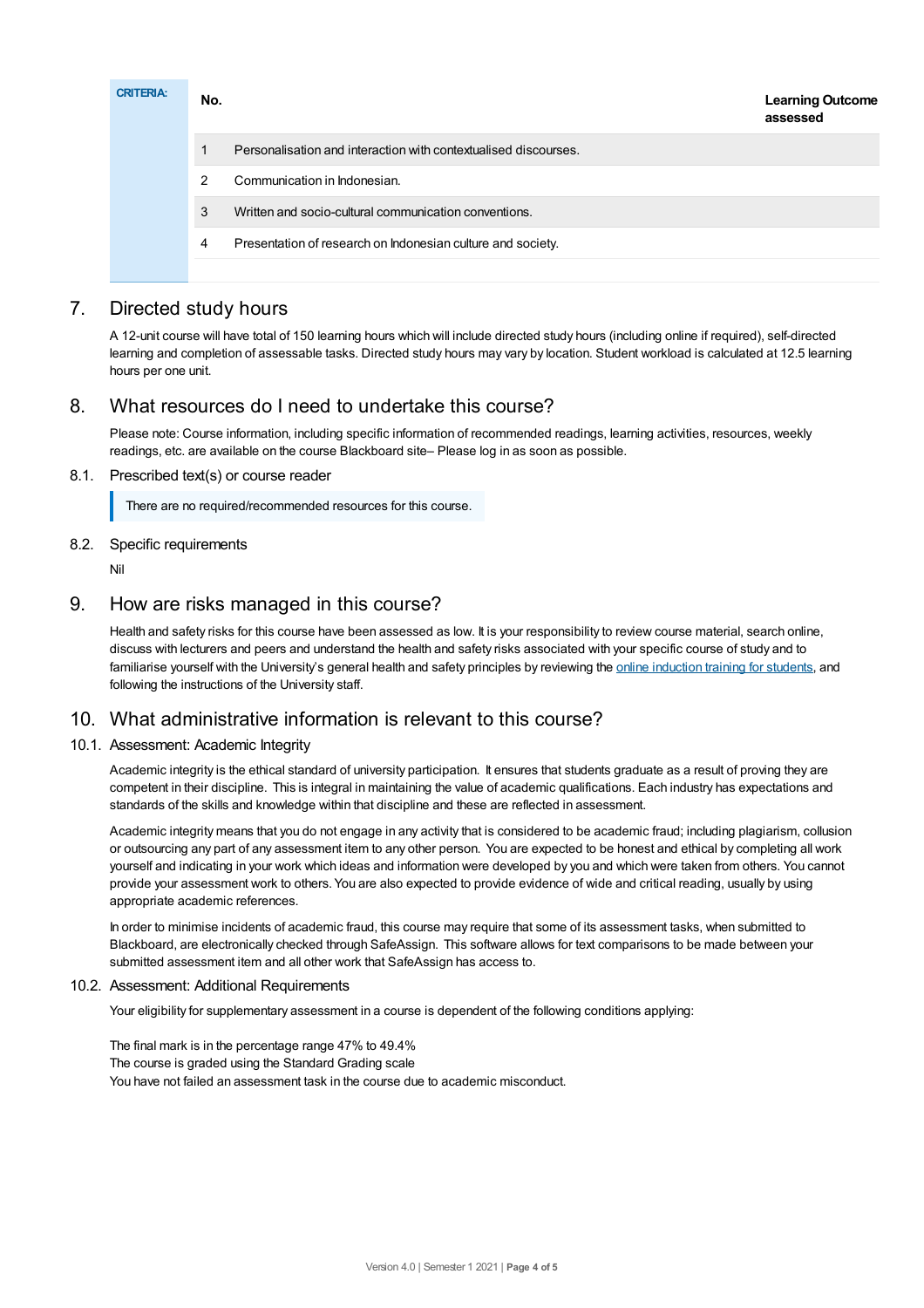| <b>CRITERIA:</b> | No.           | <b>Learning Outcome</b><br>assessed                             |
|------------------|---------------|-----------------------------------------------------------------|
|                  |               | Personalisation and interaction with contextualised discourses. |
|                  | $\mathcal{P}$ | Communication in Indonesian.                                    |
|                  | 3             | Written and socio-cultural communication conventions.           |
|                  | 4             | Presentation of research on Indonesian culture and society.     |
|                  |               |                                                                 |

# 7. Directed study hours

A 12-unit course will have total of 150 learning hours which will include directed study hours (including online if required), self-directed learning and completion of assessable tasks. Directed study hours may vary by location. Student workload is calculated at 12.5 learning hours per one unit.

# 8. What resources do I need to undertake this course?

Please note: Course information, including specific information of recommended readings, learning activities, resources, weekly readings, etc. are available on the course Blackboard site– Please log in as soon as possible.

### 8.1. Prescribed text(s) or course reader

There are no required/recommended resources for this course.

### 8.2. Specific requirements

Nil

# 9. How are risks managed in this course?

Health and safety risks for this course have been assessed as low. It is your responsibility to review course material, search online, discuss with lecturers and peers and understand the health and safety risks associated with your specific course of study and to familiarise yourself with the University's general health and safety principles by reviewing the online [induction](https://online.usc.edu.au/webapps/blackboard/content/listContentEditable.jsp?content_id=_632657_1&course_id=_14432_1) training for students, and following the instructions of the University staff.

# 10. What administrative information is relevant to this course?

### 10.1. Assessment: Academic Integrity

Academic integrity is the ethical standard of university participation. It ensures that students graduate as a result of proving they are competent in their discipline. This is integral in maintaining the value of academic qualifications. Each industry has expectations and standards of the skills and knowledge within that discipline and these are reflected in assessment.

Academic integrity means that you do not engage in any activity that is considered to be academic fraud; including plagiarism, collusion or outsourcing any part of any assessment item to any other person. You are expected to be honest and ethical by completing all work yourself and indicating in your work which ideas and information were developed by you and which were taken from others. You cannot provide your assessment work to others.You are also expected to provide evidence of wide and critical reading, usually by using appropriate academic references.

In order to minimise incidents of academic fraud, this course may require that some of its assessment tasks, when submitted to Blackboard, are electronically checked through SafeAssign. This software allows for text comparisons to be made between your submitted assessment item and all other work that SafeAssign has access to.

### 10.2. Assessment: Additional Requirements

Your eligibility for supplementary assessment in a course is dependent of the following conditions applying:

The final mark is in the percentage range 47% to 49.4% The course is graded using the Standard Grading scale You have not failed an assessment task in the course due to academic misconduct.